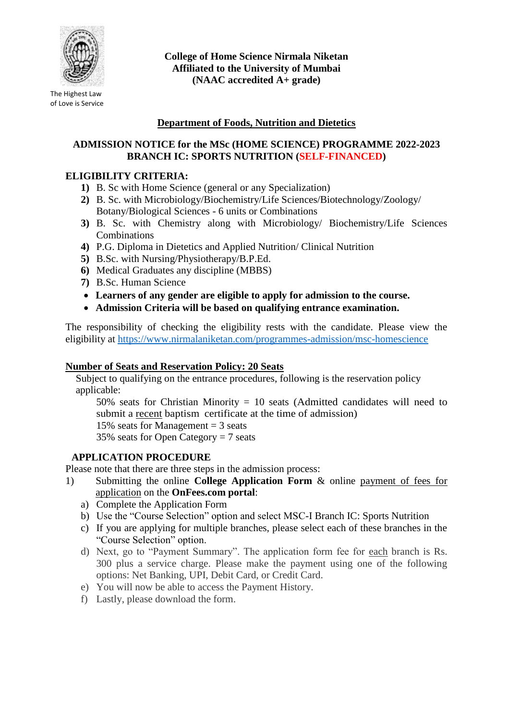

The Highest Law of Love is Service **College of Home Science Nirmala Niketan Affiliated to the University of Mumbai (NAAC accredited A+ grade)**

# **Department of Foods, Nutrition and Dietetics**

## **ADMISSION NOTICE for the MSc (HOME SCIENCE) PROGRAMME 2022-2023 BRANCH IC: SPORTS NUTRITION (SELF-FINANCED)**

### **ELIGIBILITY CRITERIA:**

- **1)** B. Sc with Home Science (general or any Specialization)
- **2)** B. Sc. with Microbiology/Biochemistry/Life Sciences/Biotechnology/Zoology/ Botany/Biological Sciences - 6 units or Combinations
- **3)** B. Sc. with Chemistry along with Microbiology/ Biochemistry/Life Sciences **Combinations**
- **4)** P.G. Diploma in Dietetics and Applied Nutrition/ Clinical Nutrition
- **5)** B.Sc. with Nursing/Physiotherapy/B.P.Ed.
- **6)** Medical Graduates any discipline (MBBS)
- **7)** B.Sc. Human Science
- **Learners of any gender are eligible to apply for admission to the course.**
- **Admission Criteria will be based on qualifying entrance examination.**

The responsibility of checking the eligibility rests with the candidate. Please view the eligibility at<https://www.nirmalaniketan.com/programmes-admission/msc-homescience>

#### **Number of Seats and Reservation Policy: 20 Seats**

Subject to qualifying on the entrance procedures, following is the reservation policy applicable:

50% seats for Christian Minority = 10 seats (Admitted candidates will need to submit a recent baptism certificate at the time of admission)

15% seats for Management  $=$  3 seats

35% seats for Open Category = 7 seats

### **APPLICATION PROCEDURE**

Please note that there are three steps in the admission process:

- 1) Submitting the online **College Application Form** & online payment of fees for application on the **OnFees.com portal**:
	- a) Complete the Application Form
	- b) Use the "Course Selection" option and select MSC-I Branch IC: Sports Nutrition
	- c) If you are applying for multiple branches, please select each of these branches in the "Course Selection" option.
	- d) Next, go to "Payment Summary". The application form fee for each branch is Rs. 300 plus a service charge. Please make the payment using one of the following options: Net Banking, UPI, Debit Card, or Credit Card.
	- e) You will now be able to access the Payment History.
	- f) Lastly, please download the form.